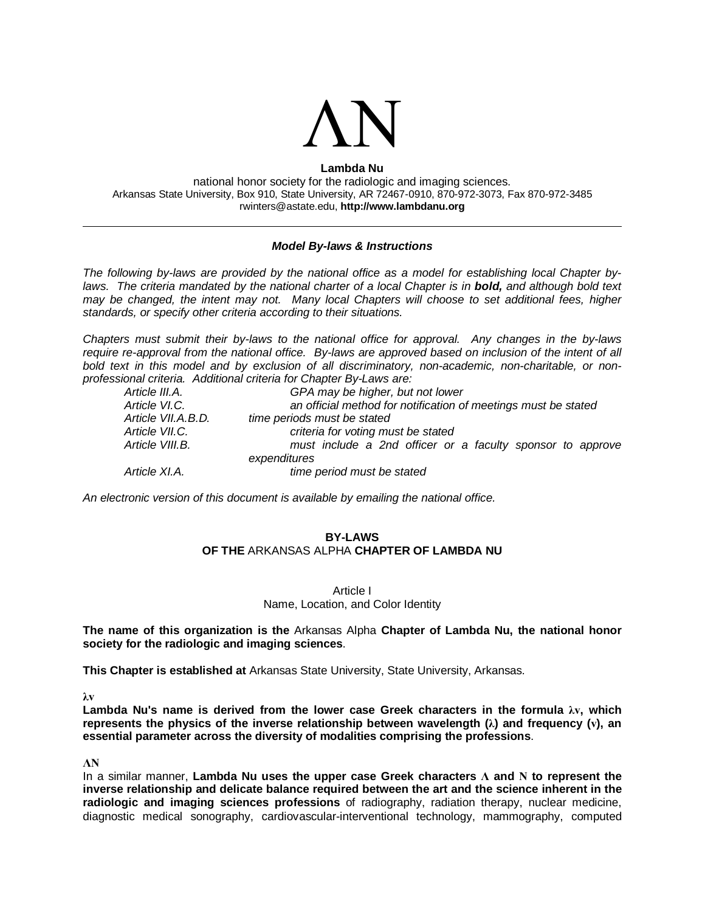

#### **Lambda Nu** national honor society for the radiologic and imaging sciences. Arkansas State University, Box 910, State University, AR 72467-0910, 870-972-3073, Fax 870-972-3485 rwinters@astate.edu, **http://www.lambdanu.org**

#### *Model By-laws & Instructions*

*The following by-laws are provided by the national office as a model for establishing local Chapter by*laws. The criteria mandated by the national charter of a local Chapter is in **bold,** and although bold text *may be changed, the intent may not. Many local Chapters will choose to set additional fees, higher standards, or specify other criteria according to their situations.*

*Chapters must submit their by-laws to the national office for approval. Any changes in the by-laws require re-approval from the national office. By-laws are approved based on inclusion of the intent of all bold text in this model and by exclusion of all discriminatory, non-academic, non-charitable, or nonprofessional criteria. Additional criteria for Chapter By-Laws are:*

| Article III.A.     | GPA may be higher, but not lower                               |
|--------------------|----------------------------------------------------------------|
| Article VI.C.      | an official method for notification of meetings must be stated |
| Article VII.A.B.D. | time periods must be stated                                    |
| Article VII.C.     | criteria for voting must be stated                             |
| Article VIII.B.    | must include a 2nd officer or a faculty sponsor to approve     |
|                    | expenditures                                                   |
| Article XI.A.      | time period must be stated                                     |
|                    |                                                                |

*An electronic version of this document is available by emailing the national office.*

#### **BY-LAWS OF THE** ARKANSAS ALPHA **CHAPTER OF LAMBDA NU**

#### Article I Name, Location, and Color Identity

**The name of this organization is the** Arkansas Alpha **Chapter of Lambda Nu, the national honor society for the radiologic and imaging sciences**.

**This Chapter is established at** Arkansas State University, State University, Arkansas.

**λv**

**Lambda Nu's name is derived from the lower case Greek characters in the formula λv, which represents the physics of the inverse relationship between wavelength (λ) and frequency (v), an essential parameter across the diversity of modalities comprising the professions**.

**ΛΝ**

In a similar manner, **Lambda Nu uses the upper case Greek characters Λ and Ν to represent the inverse relationship and delicate balance required between the art and the science inherent in the radiologic and imaging sciences professions** of radiography, radiation therapy, nuclear medicine, diagnostic medical sonography, cardiovascular-interventional technology, mammography, computed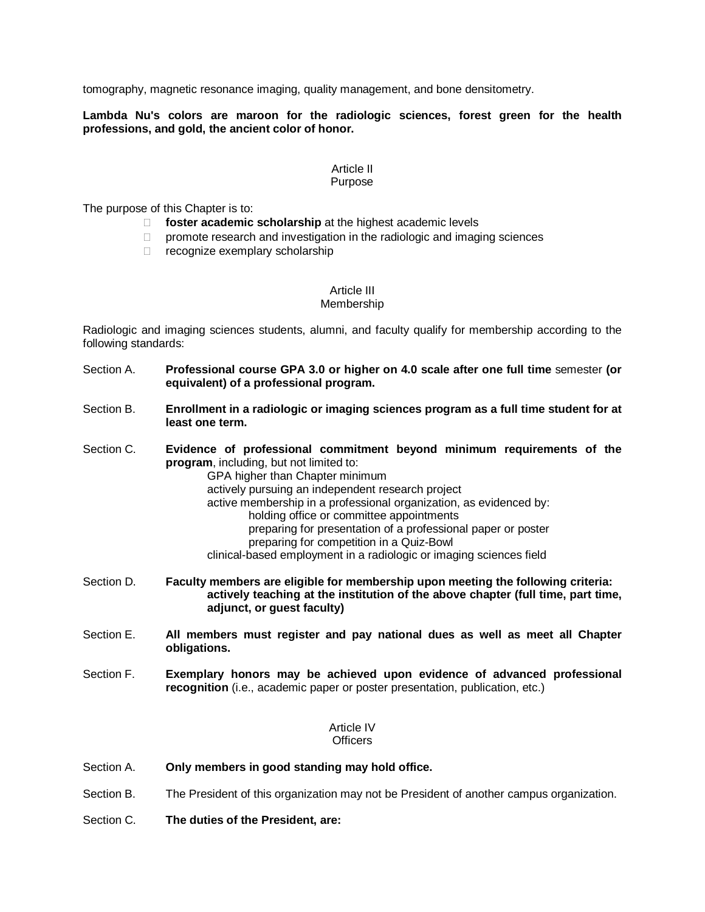tomography, magnetic resonance imaging, quality management, and bone densitometry.

**Lambda Nu's colors are maroon for the radiologic sciences, forest green for the health professions, and gold, the ancient color of honor.**

#### Article II Purpose

The purpose of this Chapter is to:

- **foster academic scholarship** at the highest academic levels
- $\Box$  promote research and investigation in the radiologic and imaging sciences
- $\Box$  recognize exemplary scholarship

#### Article III Membership

Radiologic and imaging sciences students, alumni, and faculty qualify for membership according to the following standards:

- Section A. **Professional course GPA 3.0 or higher on 4.0 scale after one full time** semester **(or equivalent) of a professional program.**
- Section B. **Enrollment in a radiologic or imaging sciences program as a full time student for at least one term.**
- Section C. **Evidence of professional commitment beyond minimum requirements of the program**, including, but not limited to: GPA higher than Chapter minimum actively pursuing an independent research project active membership in a professional organization, as evidenced by: holding office or committee appointments preparing for presentation of a professional paper or poster preparing for competition in a Quiz-Bowl clinical-based employment in a radiologic or imaging sciences field
- Section D. **Faculty members are eligible for membership upon meeting the following criteria: actively teaching at the institution of the above chapter (full time, part time, adjunct, or guest faculty)**
- Section E. **All members must register and pay national dues as well as meet all Chapter obligations.**
- Section F. **Exemplary honors may be achieved upon evidence of advanced professional recognition** (i.e., academic paper or poster presentation, publication, etc.)

# Article IV

## **Officers**

- Section A. **Only members in good standing may hold office.**
- Section B. The President of this organization may not be President of another campus organization.
- Section C. **The duties of the President, are:**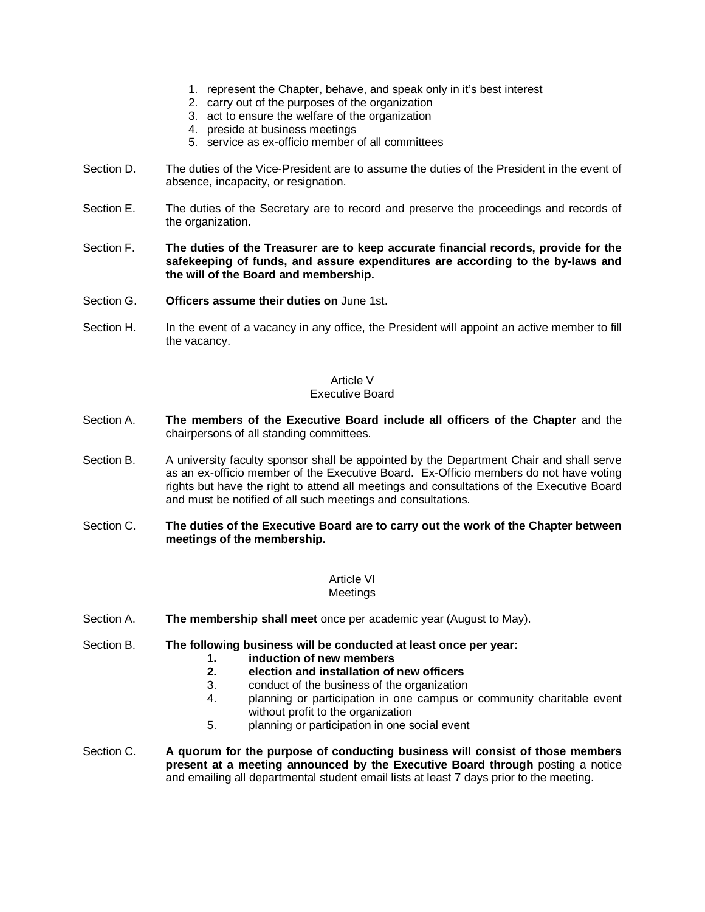- 1. represent the Chapter, behave, and speak only in it's best interest
- 2. carry out of the purposes of the organization
- 3. act to ensure the welfare of the organization
- 4. preside at business meetings
- 5. service as ex-officio member of all committees
- Section D. The duties of the Vice-President are to assume the duties of the President in the event of absence, incapacity, or resignation.
- Section E. The duties of the Secretary are to record and preserve the proceedings and records of the organization.
- Section F. **The duties of the Treasurer are to keep accurate financial records, provide for the safekeeping of funds, and assure expenditures are according to the by-laws and the will of the Board and membership.**
- Section G. **Officers assume their duties on** June 1st.
- Section H. In the event of a vacancy in any office, the President will appoint an active member to fill the vacancy.

# Article V

### Executive Board

- Section A. **The members of the Executive Board include all officers of the Chapter** and the chairpersons of all standing committees.
- Section B. A university faculty sponsor shall be appointed by the Department Chair and shall serve as an ex-officio member of the Executive Board. Ex-Officio members do not have voting rights but have the right to attend all meetings and consultations of the Executive Board and must be notified of all such meetings and consultations.
- Section C. **The duties of the Executive Board are to carry out the work of the Chapter between meetings of the membership.**

#### Article VI Meetings

- Section A. **The membership shall meet** once per academic year (August to May).
- Section B. **The following business will be conducted at least once per year:**
	- **1. induction of new members**
	- **2. election and installation of new officers**
	- 3. conduct of the business of the organization<br>4. planning or participation in one campus or
	- 4. planning or participation in one campus or community charitable event without profit to the organization
	- 5. planning or participation in one social event
- Section C. **A quorum for the purpose of conducting business will consist of those members present at a meeting announced by the Executive Board through** posting a notice and emailing all departmental student email lists at least 7 days prior to the meeting.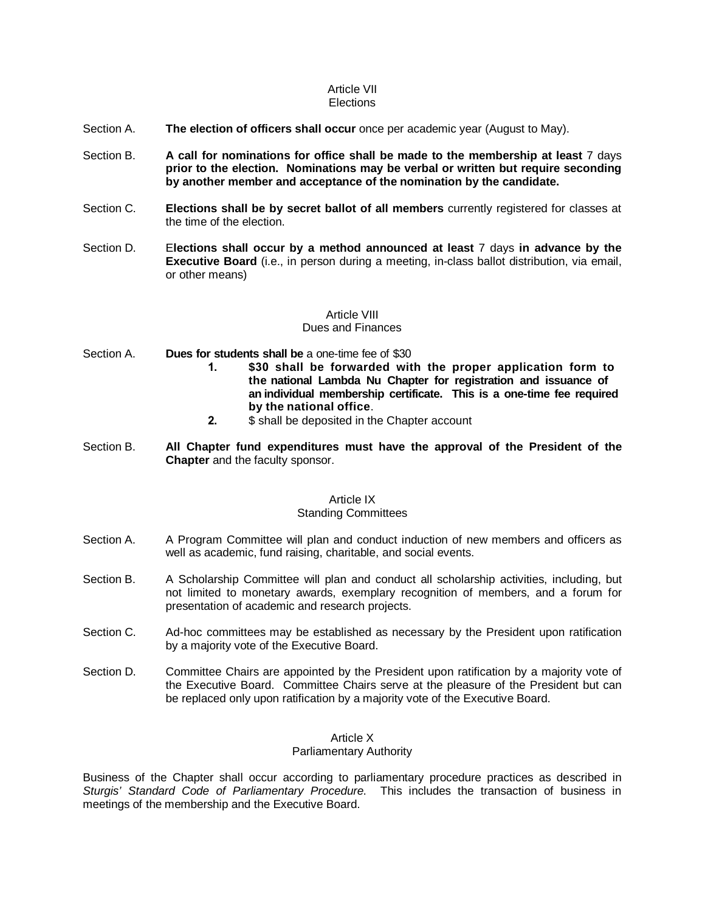#### Article VII **Elections**

# Section A. **The election of officers shall occur** once per academic year (August to May).

- Section B. **A call for nominations for office shall be made to the membership at least** 7 days **prior to the election. Nominations may be verbal or written but require seconding by another member and acceptance of the nomination by the candidate.**
- Section C. **Elections shall be by secret ballot of all members** currently registered for classes at the time of the election.
- Section D. E**lections shall occur by a method announced at least** 7 days **in advance by the Executive Board** (i.e., in person during a meeting, in-class ballot distribution, via email, or other means)

#### Article VIII Dues and Finances

- Section A. **Dues for students shall be** a one-time fee of \$30
	- **1. \$30 shall be forwarded with the proper application form to the national Lambda Nu Chapter for registration and issuance of an individual membership certificate. This is a one-time fee required by the national office**.
	- **2.** \$ shall be deposited in the Chapter account
- Section B. **All Chapter fund expenditures must have the approval of the President of the Chapter** and the faculty sponsor.

#### Article IX

#### Standing Committees

- Section A. A Program Committee will plan and conduct induction of new members and officers as well as academic, fund raising, charitable, and social events.
- Section B. A Scholarship Committee will plan and conduct all scholarship activities, including, but not limited to monetary awards, exemplary recognition of members, and a forum for presentation of academic and research projects.
- Section C. Ad-hoc committees may be established as necessary by the President upon ratification by a majority vote of the Executive Board.
- Section D. Committee Chairs are appointed by the President upon ratification by a majority vote of the Executive Board. Committee Chairs serve at the pleasure of the President but can be replaced only upon ratification by a majority vote of the Executive Board.

#### Article X

#### Parliamentary Authority

Business of the Chapter shall occur according to parliamentary procedure practices as described in *Sturgis' Standard Code of Parliamentary Procedure*. This includes the transaction of business in meetings of the membership and the Executive Board.